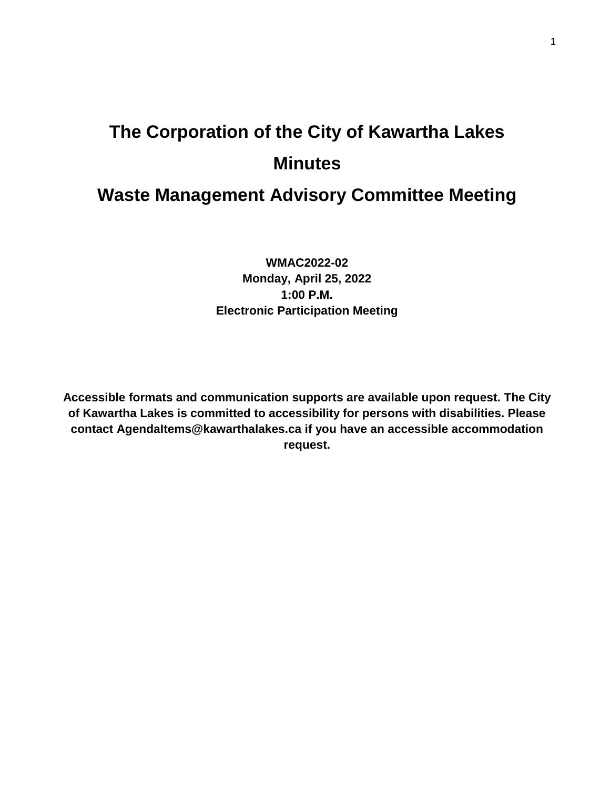# **The Corporation of the City of Kawartha Lakes Minutes**

# **Waste Management Advisory Committee Meeting**

**WMAC2022-02 Monday, April 25, 2022 1:00 P.M. Electronic Participation Meeting**

**Accessible formats and communication supports are available upon request. The City of Kawartha Lakes is committed to accessibility for persons with disabilities. Please contact AgendaItems@kawarthalakes.ca if you have an accessible accommodation request.**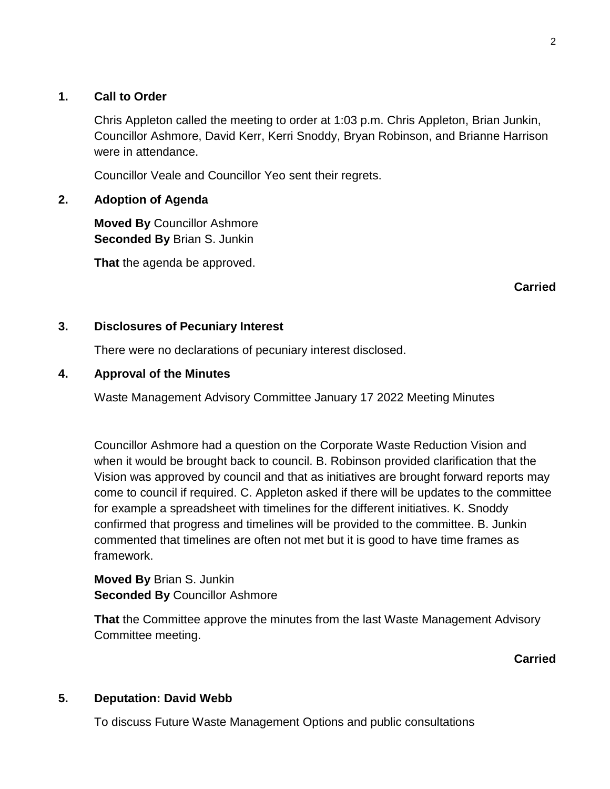#### **1. Call to Order**

Chris Appleton called the meeting to order at 1:03 p.m. Chris Appleton, Brian Junkin, Councillor Ashmore, David Kerr, Kerri Snoddy, Bryan Robinson, and Brianne Harrison were in attendance.

Councillor Veale and Councillor Yeo sent their regrets.

#### **2. Adoption of Agenda**

**Moved By** Councillor Ashmore **Seconded By** Brian S. Junkin

**That** the agenda be approved.

**Carried**

#### **3. Disclosures of Pecuniary Interest**

There were no declarations of pecuniary interest disclosed.

#### **4. Approval of the Minutes**

Waste Management Advisory Committee January 17 2022 Meeting Minutes

Councillor Ashmore had a question on the Corporate Waste Reduction Vision and when it would be brought back to council. B. Robinson provided clarification that the Vision was approved by council and that as initiatives are brought forward reports may come to council if required. C. Appleton asked if there will be updates to the committee for example a spreadsheet with timelines for the different initiatives. K. Snoddy confirmed that progress and timelines will be provided to the committee. B. Junkin commented that timelines are often not met but it is good to have time frames as framework.

**Moved By** Brian S. Junkin **Seconded By** Councillor Ashmore

**That** the Committee approve the minutes from the last Waste Management Advisory Committee meeting.

**Carried**

#### **5. Deputation: David Webb**

To discuss Future Waste Management Options and public consultations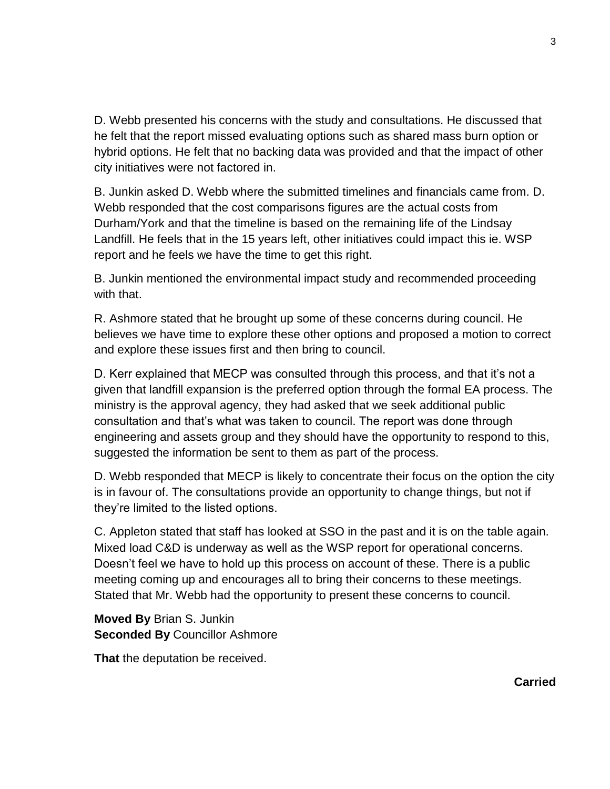D. Webb presented his concerns with the study and consultations. He discussed that he felt that the report missed evaluating options such as shared mass burn option or hybrid options. He felt that no backing data was provided and that the impact of other city initiatives were not factored in.

B. Junkin asked D. Webb where the submitted timelines and financials came from. D. Webb responded that the cost comparisons figures are the actual costs from Durham/York and that the timeline is based on the remaining life of the Lindsay Landfill. He feels that in the 15 years left, other initiatives could impact this ie. WSP report and he feels we have the time to get this right.

B. Junkin mentioned the environmental impact study and recommended proceeding with that.

R. Ashmore stated that he brought up some of these concerns during council. He believes we have time to explore these other options and proposed a motion to correct and explore these issues first and then bring to council.

D. Kerr explained that MECP was consulted through this process, and that it's not a given that landfill expansion is the preferred option through the formal EA process. The ministry is the approval agency, they had asked that we seek additional public consultation and that's what was taken to council. The report was done through engineering and assets group and they should have the opportunity to respond to this, suggested the information be sent to them as part of the process.

D. Webb responded that MECP is likely to concentrate their focus on the option the city is in favour of. The consultations provide an opportunity to change things, but not if they're limited to the listed options.

C. Appleton stated that staff has looked at SSO in the past and it is on the table again. Mixed load C&D is underway as well as the WSP report for operational concerns. Doesn't feel we have to hold up this process on account of these. There is a public meeting coming up and encourages all to bring their concerns to these meetings. Stated that Mr. Webb had the opportunity to present these concerns to council.

**Moved By** Brian S. Junkin **Seconded By** Councillor Ashmore

**That** the deputation be received.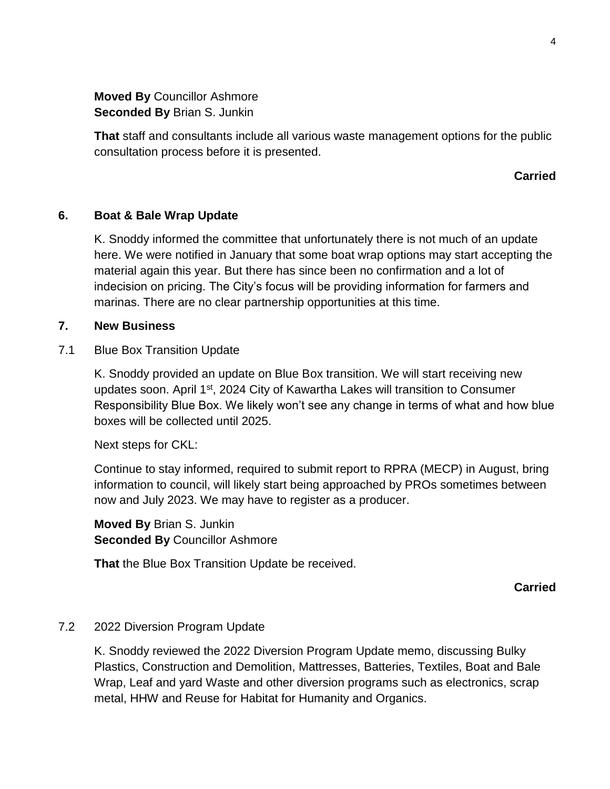**Moved By** Councillor Ashmore **Seconded By** Brian S. Junkin

**That** staff and consultants include all various waste management options for the public consultation process before it is presented.

#### **Carried**

#### **6. Boat & Bale Wrap Update**

K. Snoddy informed the committee that unfortunately there is not much of an update here. We were notified in January that some boat wrap options may start accepting the material again this year. But there has since been no confirmation and a lot of indecision on pricing. The City's focus will be providing information for farmers and marinas. There are no clear partnership opportunities at this time.

#### **7. New Business**

7.1 Blue Box Transition Update

K. Snoddy provided an update on Blue Box transition. We will start receiving new updates soon. April 1<sup>st</sup>, 2024 City of Kawartha Lakes will transition to Consumer Responsibility Blue Box. We likely won't see any change in terms of what and how blue boxes will be collected until 2025.

Next steps for CKL:

Continue to stay informed, required to submit report to RPRA (MECP) in August, bring information to council, will likely start being approached by PROs sometimes between now and July 2023. We may have to register as a producer.

**Moved By** Brian S. Junkin **Seconded By** Councillor Ashmore

**That** the Blue Box Transition Update be received.

**Carried**

### 7.2 2022 Diversion Program Update

K. Snoddy reviewed the 2022 Diversion Program Update memo, discussing Bulky Plastics, Construction and Demolition, Mattresses, Batteries, Textiles, Boat and Bale Wrap, Leaf and yard Waste and other diversion programs such as electronics, scrap metal, HHW and Reuse for Habitat for Humanity and Organics.